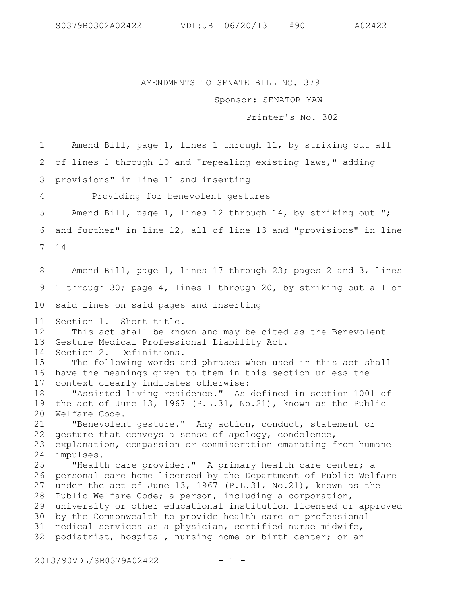AMENDMENTS TO SENATE BILL NO. 379

Sponsor: SENATOR YAW

Printer's No. 302

Amend Bill, page 1, lines 1 through 11, by striking out all 2 of lines 1 through 10 and "repealing existing laws," adding provisions" in line 11 and inserting Providing for benevolent gestures Amend Bill, page 1, lines 12 through 14, by striking out "; and further" in line 12, all of line 13 and "provisions" in line 6 14 7 Amend Bill, page 1, lines 17 through 23; pages 2 and 3, lines 1 through 30; page 4, lines 1 through 20, by striking out all of 10 said lines on said pages and inserting Section 1. Short title. This act shall be known and may be cited as the Benevolent Gesture Medical Professional Liability Act. Section 2. Definitions. The following words and phrases when used in this act shall 16 have the meanings given to them in this section unless the context clearly indicates otherwise: "Assisted living residence." As defined in section 1001 of the act of June 13, 1967 (P.L.31, No.21), known as the Public Welfare Code. 20 "Benevolent gesture." Any action, conduct, statement or gesture that conveys a sense of apology, condolence, explanation, compassion or commiseration emanating from humane impulses. "Health care provider." A primary health care center; a 26 personal care home licensed by the Department of Public Welfare under the act of June 13, 1967 (P.L.31, No.21), known as the 28 Public Welfare Code; a person, including a corporation, university or other educational institution licensed or approved 30 by the Commonwealth to provide health care or professional medical services as a physician, certified nurse midwife, podiatrist, hospital, nursing home or birth center; or an 1 3 4 5 8 9 11 12 13 14 15 17 18 19 21 22 23 24 25 27 29 31 32